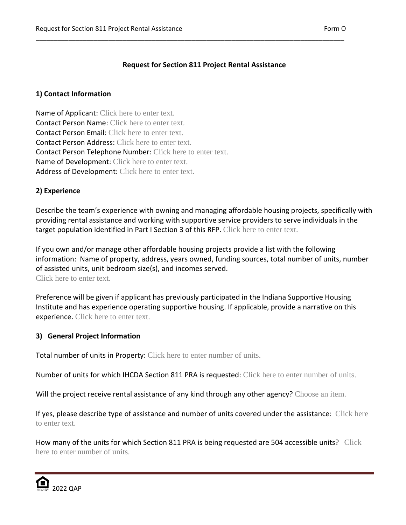# **Request for Section 811 Project Rental Assistance**

\_\_\_\_\_\_\_\_\_\_\_\_\_\_\_\_\_\_\_\_\_\_\_\_\_\_\_\_\_\_\_\_\_\_\_\_\_\_\_\_\_\_\_\_\_\_\_\_\_\_\_\_\_\_\_\_\_\_\_\_\_\_\_\_\_\_\_\_\_\_\_\_\_\_\_\_\_\_\_\_\_\_\_\_\_

### **1) Contact Information**

Name of Applicant: Click here to enter text. Contact Person Name: Click here to enter text. Contact Person Email: Click here to enter text. Contact Person Address: Click here to enter text. Contact Person Telephone Number: Click here to enter text. Name of Development: Click here to enter text. Address of Development: Click here to enter text.

### **2) Experience**

Describe the team's experience with owning and managing affordable housing projects, specifically with providing rental assistance and working with supportive service providers to serve individuals in the target population identified in Part I Section 3 of this RFP. Click here to enter text.

If you own and/or manage other affordable housing projects provide a list with the following information: Name of property, address, years owned, funding sources, total number of units, number of assisted units, unit bedroom size(s), and incomes served. Click here to enter text.

Preference will be given if applicant has previously participated in the Indiana Supportive Housing Institute and has experience operating supportive housing. If applicable, provide a narrative on this experience. Click here to enter text.

### **3) General Project Information**

Total number of units in Property: Click here to enter number of units.

Number of units for which IHCDA Section 811 PRA is requested: Click here to enter number of units.

Will the project receive rental assistance of any kind through any other agency? Choose an item.

If yes, please describe type of assistance and number of units covered under the assistance: Click here to enter text.

How many of the units for which Section 811 PRA is being requested are 504 accessible units? Click here to enter number of units.

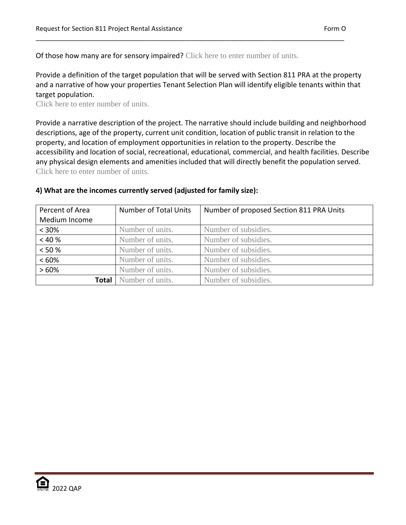Of those how many are for sensory impaired? Click here to enter number of units.

Provide a definition of the target population that will be served with Section 811 PRA at the property and a narrative of how your properties Tenant Selection Plan will identify eligible tenants within that target population.

\_\_\_\_\_\_\_\_\_\_\_\_\_\_\_\_\_\_\_\_\_\_\_\_\_\_\_\_\_\_\_\_\_\_\_\_\_\_\_\_\_\_\_\_\_\_\_\_\_\_\_\_\_\_\_\_\_\_\_\_\_\_\_\_\_\_\_\_\_\_\_\_\_\_\_\_\_\_\_\_\_\_\_\_\_

Click here to enter number of units.

Provide a narrative description of the project. The narrative should include building and neighborhood descriptions, age of the property, current unit condition, location of public transit in relation to the property, and location of employment opportunities in relation to the property. Describe the accessibility and location of social, recreational, educational, commercial, and health facilities. Describe any physical design elements and amenities included that will directly benefit the population served. Click here to enter number of units.

| <b>Number of Total Units</b><br>Percent of Area |                               | Number of proposed Section 811 PRA Units |  |
|-------------------------------------------------|-------------------------------|------------------------------------------|--|
| Medium Income                                   |                               |                                          |  |
| $< 30\%$                                        | Number of units.              | Number of subsidies.                     |  |
| < 40%                                           | Number of units.              | Number of subsidies.                     |  |
| $< 50 \%$                                       | Number of units.              | Number of subsidies.                     |  |
| <60%                                            | Number of units.              | Number of subsidies.                     |  |
| Number of units.<br>>60%                        |                               | Number of subsidies.                     |  |
|                                                 | <b>Total</b> Number of units. | Number of subsidies.                     |  |

#### **4) What are the incomes currently served (adjusted for family size):**

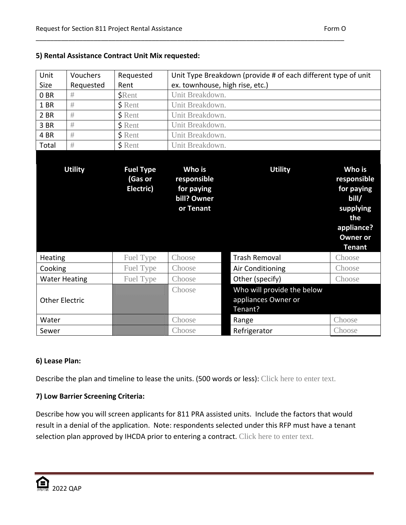| Unit                  | Vouchers       | Requested                                | Unit Type Breakdown (provide # of each different type of unit   |                                                              |                                                                                                                    |
|-----------------------|----------------|------------------------------------------|-----------------------------------------------------------------|--------------------------------------------------------------|--------------------------------------------------------------------------------------------------------------------|
| <b>Size</b>           | Requested      | Rent                                     | ex. townhouse, high rise, etc.)                                 |                                                              |                                                                                                                    |
| 0 <sub>BR</sub>       | #              | <b>\$Rent</b>                            | Unit Breakdown.                                                 |                                                              |                                                                                                                    |
| 1 BR                  | #              | <b>\$</b> Rent                           | Unit Breakdown.                                                 |                                                              |                                                                                                                    |
| 2 BR                  | #              | \$ Rent                                  | Unit Breakdown.                                                 |                                                              |                                                                                                                    |
| 3 BR                  | #              | \$ Rent                                  | Unit Breakdown.                                                 |                                                              |                                                                                                                    |
| 4 BR                  | #              | \$ Rent                                  | Unit Breakdown.                                                 |                                                              |                                                                                                                    |
| Total                 | #              | $$$ Rent                                 | Unit Breakdown.                                                 |                                                              |                                                                                                                    |
|                       |                |                                          |                                                                 |                                                              |                                                                                                                    |
|                       | <b>Utility</b> | <b>Fuel Type</b><br>(Gas or<br>Electric) | Who is<br>responsible<br>for paying<br>bill? Owner<br>or Tenant | <b>Utility</b>                                               | Who is<br>responsible<br>for paying<br>bill/<br>supplying<br>the<br>appliance?<br><b>Owner or</b><br><b>Tenant</b> |
| Heating               |                | Fuel Type                                | Choose                                                          | <b>Trash Removal</b>                                         | Choose                                                                                                             |
| Cooking               |                | Fuel Type                                | Choose                                                          | Air Conditioning                                             | Choose                                                                                                             |
| <b>Water Heating</b>  |                | Fuel Type                                | Choose                                                          | Other (specify)                                              | Choose                                                                                                             |
| <b>Other Electric</b> |                |                                          | Choose                                                          | Who will provide the below<br>appliances Owner or<br>Tenant? |                                                                                                                    |
| Water                 |                |                                          | Choose                                                          | Range                                                        | Choose                                                                                                             |
| Sewer                 |                |                                          | Choose                                                          | Refrigerator                                                 | Choose                                                                                                             |

\_\_\_\_\_\_\_\_\_\_\_\_\_\_\_\_\_\_\_\_\_\_\_\_\_\_\_\_\_\_\_\_\_\_\_\_\_\_\_\_\_\_\_\_\_\_\_\_\_\_\_\_\_\_\_\_\_\_\_\_\_\_\_\_\_\_\_\_\_\_\_\_\_\_\_\_\_\_\_\_\_\_\_\_\_

# **5) Rental Assistance Contract Unit Mix requested:**

# **6) Lease Plan:**

Describe the plan and timeline to lease the units. (500 words or less): Click here to enter text.

# **7) Low Barrier Screening Criteria:**

Describe how you will screen applicants for 811 PRA assisted units. Include the factors that would result in a denial of the application. Note: respondents selected under this RFP must have a tenant selection plan approved by IHCDA prior to entering a contract. Click here to enter text.